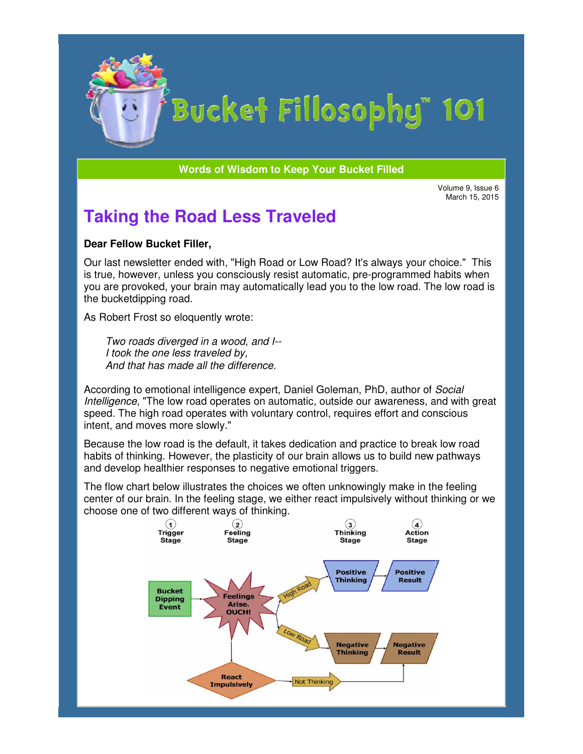

# Bucket Fillosophy" 101

**Words of Wisdom to Keep Your Bucket Filled Wisdom** 

March 15, 2015

# **Taking the Road Less Traveled**

#### **Dear Fellow Bucket Filler,**

Our last newsletter ended with, "High Road or Low Road? It's always your choice." This is true, however, unless you consciously resist automatic, pre-programmed habits when you are provoked, your brain may automatically lead you to the low road. The low road is the bucketdipping road. Volume 9, Issue <sup>Volume</sup> 9, Issue <sup>Maxch</sup> 15, 2015<br>
Warch 15, 2015<br>
ucket Filler,<br>
etter ended with, "High Road or Low Road? It's always your choice." This<br>
there ended with, "High Road or Low Road? It's always your choice

As Robert Frost so eloquently wrote:

Two roads diverged in a wood, and I--I took the one less traveled by, And that has made all the difference.

According to emotional intelligence expert, Daniel Goleman, PhD, author of Social Intelligence, "The low road operates on automatic, outside our awareness, and with great speed. The high road operates with voluntary control, requires effort and conscious intent, and moves more slowly." The low road operates on automatic, outside our awareness, and with gr<br>igh road operates with voluntary control, requires effort and conscious<br>oves more slowly."<br>low road is the default, it takes dedication and practice to programmed habits whe<br>e low road. The low road<br>hD, author of *Social*<br>awareness, and with gi<br>effort and conscious<br>actice to break low road<br>s to build new pathways<br>s.

Because the low road is the default, it takes dedication and practice to break low road habits of thinking. However, the plasticity of our brain allows us to build new pathways and develop healthier responses to negative emotional triggers. habits of thinking. However, the plasticity of our brain allows us to build new p<br>and develop healthier responses to negative emotional triggers.<br>The flow chart below illustrates the choices we often unknowingly make in th

center of our brain. In the feeling stage, we either react impulsively without thinking or we choose one of two different ways of thinking.